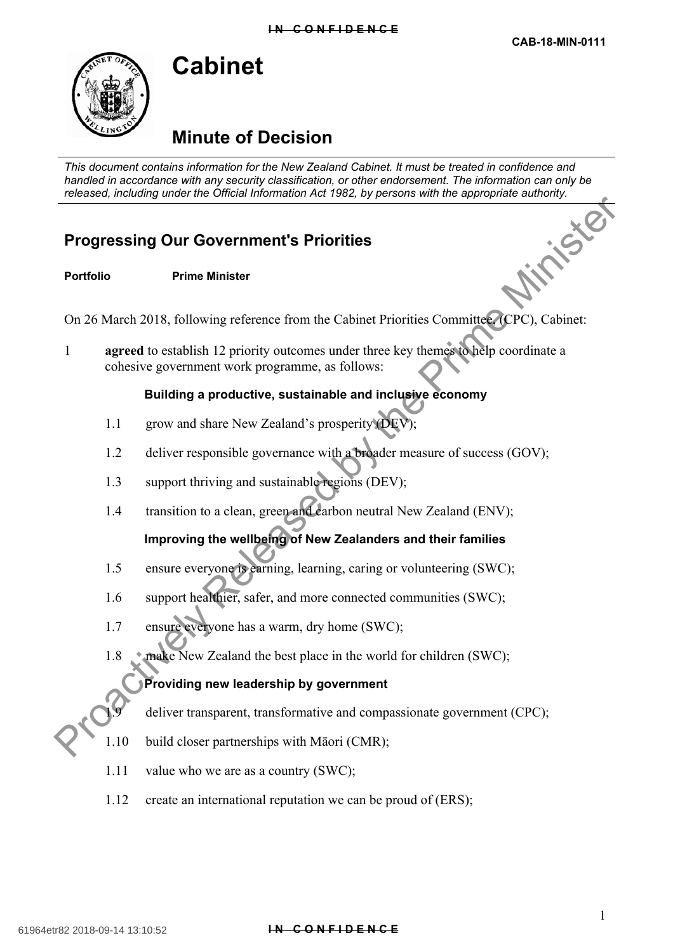# **Minute of Decision**

*This document contains information for the New Zealand Cabinet. It must be treated in confidence and handled in accordance with any security classification, or other endorsement. The information can only be released, including under the Official Information Act 1982, by persons with the appropriate authority.*

## **Progressing Our Government's Priorities**

**Cabinet**

**Portfolio Prime Minister**

On 26 March 2018, following reference from the Cabinet Priorities Committee, (CPC), Cabinet:

1 **agreed** to establish 12 priority outcomes under three key themes to help coordinate a cohesive government work programme, as follows: **Progressing Our Government's Priorities**<br>
Progressing Our Government's Priorities<br>
Portfolio Prime Minister<br>
On 26 March 2018, following reference from the Cabinet Priorities Committed (CPC), Cabinet:<br>
argreed to establi

#### **Building a productive, sustainable and inclusive economy**

- 1.1 grow and share New Zealand's prosperity (DEV);
- 1.2 deliver responsible governance with a broader measure of success (GOV);
- 1.3 support thriving and sustainable regions (DEV);
- 1.4 transition to a clean, green and carbon neutral New Zealand (ENV);

### **Improving the wellbeing of New Zealanders and their families**

- 1.5 ensure everyone is earning, learning, caring or volunteering (SWC);
- 1.6 support healthier, safer, and more connected communities (SWC);
- 1.7 ensure everyone has a warm, dry home (SWC);
- 1.8 make New Zealand the best place in the world for children (SWC);

#### **Providing new leadership by government**

deliver transparent, transformative and compassionate government (CPC);

- 1.10 build closer partnerships with Māori (CMR);
- 1.11 value who we are as a country (SWC);
- 1.12 create an international reputation we can be proud of (ERS);